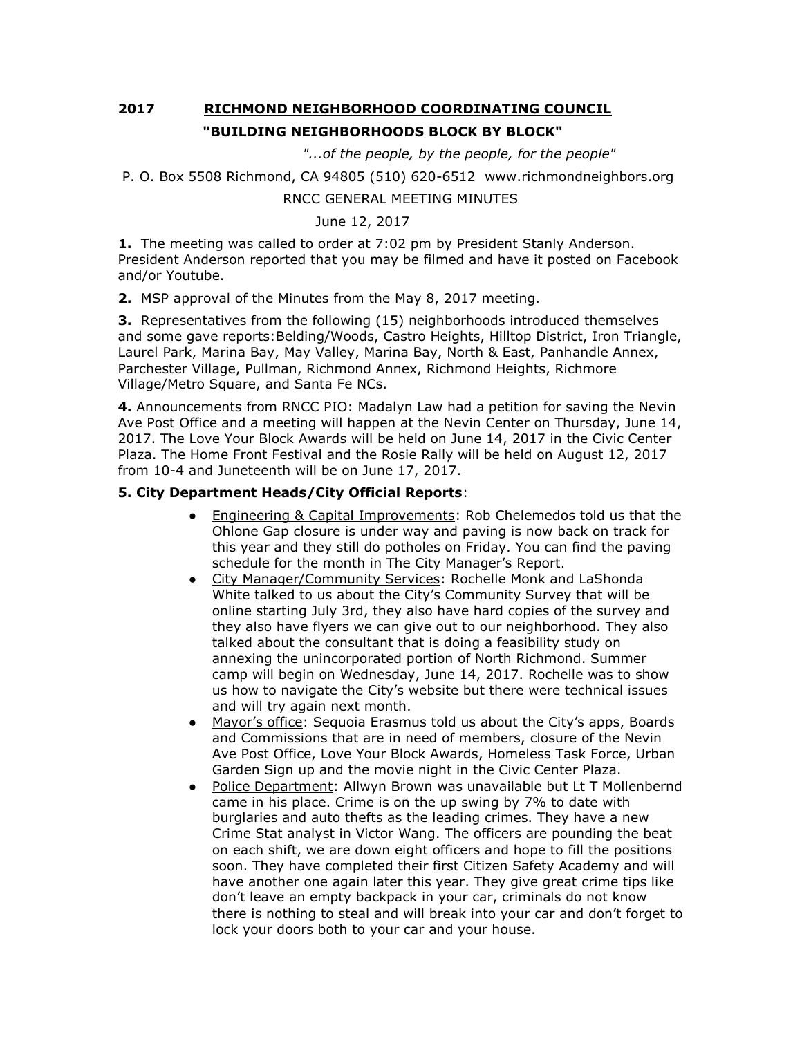# **2017 RICHMOND NEIGHBORHOOD COORDINATING COUNCIL "BUILDING NEIGHBORHOODS BLOCK BY BLOCK"**

 *"...of the people, by the people, for the people"*

```
P. O. Box 5508 Richmond, CA 94805 (510) 620-6512 www.richmondneighbors.org
```
## RNCC GENERAL MEETING MINUTES

## June 12, 2017

**1.** The meeting was called to order at 7:02 pm by President Stanly Anderson. President Anderson reported that you may be filmed and have it posted on Facebook and/or Youtube.

**2.** MSP approval of the Minutes from the May 8, 2017 meeting.

**3.** Representatives from the following (15) neighborhoods introduced themselves and some gave reports:Belding/Woods, Castro Heights, Hilltop District, Iron Triangle, Laurel Park, Marina Bay, May Valley, Marina Bay, North & East, Panhandle Annex, Parchester Village, Pullman, Richmond Annex, Richmond Heights, Richmore Village/Metro Square, and Santa Fe NCs.

**4.** Announcements from RNCC PIO: Madalyn Law had a petition for saving the Nevin Ave Post Office and a meeting will happen at the Nevin Center on Thursday, June 14, 2017. The Love Your Block Awards will be held on June 14, 2017 in the Civic Center Plaza. The Home Front Festival and the Rosie Rally will be held on August 12, 2017 from 10-4 and Juneteenth will be on June 17, 2017.

#### **5. City Department Heads/City Official Reports**:

- Engineering & Capital Improvements: Rob Chelemedos told us that the Ohlone Gap closure is under way and paving is now back on track for this year and they still do potholes on Friday. You can find the paving schedule for the month in The City Manager's Report.
- City Manager/Community Services: Rochelle Monk and LaShonda White talked to us about the City's Community Survey that will be online starting July 3rd, they also have hard copies of the survey and they also have flyers we can give out to our neighborhood. They also talked about the consultant that is doing a feasibility study on annexing the unincorporated portion of North Richmond. Summer camp will begin on Wednesday, June 14, 2017. Rochelle was to show us how to navigate the City's website but there were technical issues and will try again next month.
- Mayor's office: Sequoia Erasmus told us about the City's apps, Boards and Commissions that are in need of members, closure of the Nevin Ave Post Office, Love Your Block Awards, Homeless Task Force, Urban Garden Sign up and the movie night in the Civic Center Plaza.
- Police Department: Allwyn Brown was unavailable but Lt T Mollenbernd came in his place. Crime is on the up swing by 7% to date with burglaries and auto thefts as the leading crimes. They have a new Crime Stat analyst in Victor Wang. The officers are pounding the beat on each shift, we are down eight officers and hope to fill the positions soon. They have completed their first Citizen Safety Academy and will have another one again later this year. They give great crime tips like don't leave an empty backpack in your car, criminals do not know there is nothing to steal and will break into your car and don't forget to lock your doors both to your car and your house.